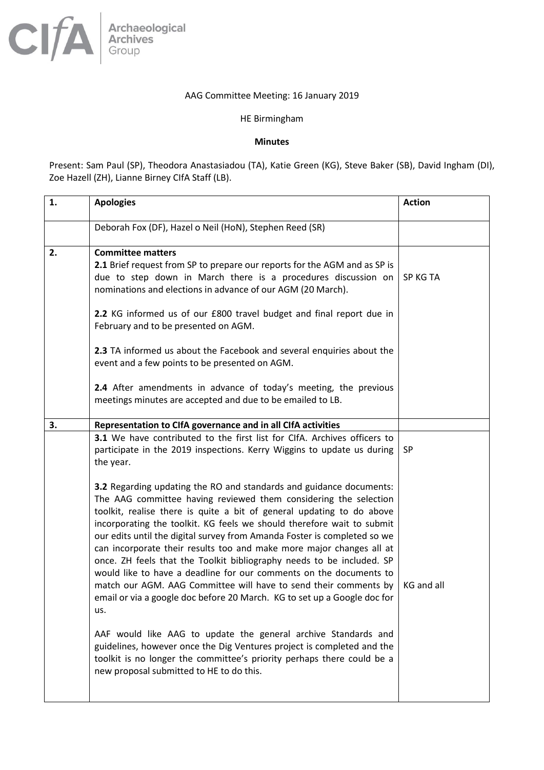## AAG Committee Meeting: 16 January 2019

## HE Birmingham

## **Minutes**

Present: Sam Paul (SP), Theodora Anastasiadou (TA), Katie Green (KG), Steve Baker (SB), David Ingham (DI), Zoe Hazell (ZH), Lianne Birney CIfA Staff (LB).

| 1. | <b>Apologies</b>                                                                                                                                                                                                                                                                                                                                                                                                                                                                                                                                                                                                                                                                                                                                                                                                                                                                                                                                                                                                       | <b>Action</b> |
|----|------------------------------------------------------------------------------------------------------------------------------------------------------------------------------------------------------------------------------------------------------------------------------------------------------------------------------------------------------------------------------------------------------------------------------------------------------------------------------------------------------------------------------------------------------------------------------------------------------------------------------------------------------------------------------------------------------------------------------------------------------------------------------------------------------------------------------------------------------------------------------------------------------------------------------------------------------------------------------------------------------------------------|---------------|
|    | Deborah Fox (DF), Hazel o Neil (HoN), Stephen Reed (SR)                                                                                                                                                                                                                                                                                                                                                                                                                                                                                                                                                                                                                                                                                                                                                                                                                                                                                                                                                                |               |
| 2. | <b>Committee matters</b><br>2.1 Brief request from SP to prepare our reports for the AGM and as SP is<br>due to step down in March there is a procedures discussion on<br>nominations and elections in advance of our AGM (20 March).                                                                                                                                                                                                                                                                                                                                                                                                                                                                                                                                                                                                                                                                                                                                                                                  | SP KG TA      |
|    | 2.2 KG informed us of our £800 travel budget and final report due in<br>February and to be presented on AGM.                                                                                                                                                                                                                                                                                                                                                                                                                                                                                                                                                                                                                                                                                                                                                                                                                                                                                                           |               |
|    | 2.3 TA informed us about the Facebook and several enquiries about the<br>event and a few points to be presented on AGM.                                                                                                                                                                                                                                                                                                                                                                                                                                                                                                                                                                                                                                                                                                                                                                                                                                                                                                |               |
|    | 2.4 After amendments in advance of today's meeting, the previous<br>meetings minutes are accepted and due to be emailed to LB.                                                                                                                                                                                                                                                                                                                                                                                                                                                                                                                                                                                                                                                                                                                                                                                                                                                                                         |               |
| 3. | Representation to CIfA governance and in all CIfA activities                                                                                                                                                                                                                                                                                                                                                                                                                                                                                                                                                                                                                                                                                                                                                                                                                                                                                                                                                           |               |
|    | 3.1 We have contributed to the first list for ClfA. Archives officers to<br>participate in the 2019 inspections. Kerry Wiggins to update us during<br>the year.                                                                                                                                                                                                                                                                                                                                                                                                                                                                                                                                                                                                                                                                                                                                                                                                                                                        | <b>SP</b>     |
|    | 3.2 Regarding updating the RO and standards and guidance documents:<br>The AAG committee having reviewed them considering the selection<br>toolkit, realise there is quite a bit of general updating to do above<br>incorporating the toolkit. KG feels we should therefore wait to submit<br>our edits until the digital survey from Amanda Foster is completed so we<br>can incorporate their results too and make more major changes all at<br>once. ZH feels that the Toolkit bibliography needs to be included. SP<br>would like to have a deadline for our comments on the documents to<br>match our AGM. AAG Committee will have to send their comments by<br>email or via a google doc before 20 March. KG to set up a Google doc for<br>us.<br>AAF would like AAG to update the general archive Standards and<br>guidelines, however once the Dig Ventures project is completed and the<br>toolkit is no longer the committee's priority perhaps there could be a<br>new proposal submitted to HE to do this. | KG and all    |